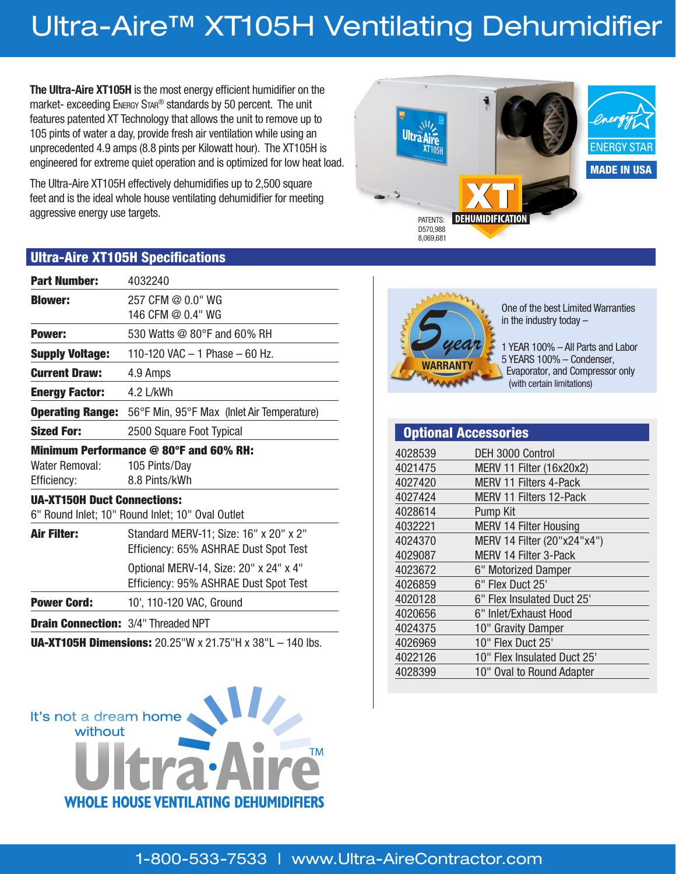## Ultra-Aire™ XT105H Ventilating Dehumidifier

**The Ultra-Aire XT105H** is the most energy efficient humidifier on the market- exceeding ENERGY STAR<sup>®</sup> standards by 50 percent. The unit features patented XT Technology that allows the unit to remove up to 105 pints of water a day, provide fresh air ventilation while using an unprecedented 4.9 amps (8.8 pints per Kilowatt hour). The XT105H is engineered for extreme quiet operation and is optimized for low heat load.

The Ultra-Aire XT105H effectively dehumidifies up to 2,500 square feet and is the ideal whole house ventilating dehumidifier for meeting aggressive energy use targets.



#### Ultra-Aire XT105H Specifications

| <b>Part Number:</b>                        | 4032240                                                                         |
|--------------------------------------------|---------------------------------------------------------------------------------|
| <b>Blower:</b>                             | 257 CFM @ 0.0" WG<br>146 CFM @ 0.4" WG                                          |
| <b>Power:</b>                              | 530 Watts @ 80°F and 60% RH                                                     |
| <b>Supply Voltage:</b>                     | 110-120 VAC $-$ 1 Phase $-$ 60 Hz.                                              |
| <b>Current Draw:</b>                       | 4.9 Amps                                                                        |
| <b>Energy Factor:</b>                      | 4.2 L/kWh                                                                       |
| <b>Operating Range:</b>                    | 56°F Min, 95°F Max (Inlet Air Temperature)                                      |
| <b>Sized For:</b>                          | 2500 Square Foot Typical                                                        |
|                                            | Minimum Performance @ 80°F and 60% RH:                                          |
| Water Removal:                             | 105 Pints/Day                                                                   |
| Efficiency:                                | 8.8 Pints/kWh                                                                   |
| <b>UA-XT150H Duct Connections:</b>         | 6" Round Inlet; 10" Round Inlet; 10" Oval Outlet                                |
| <b>Air Filter:</b>                         | Standard MERV-11; Size: 16" x 20" x 2"<br>Efficiency: 65% ASHRAE Dust Spot Test |
|                                            | Optional MERV-14, Size: 20" x 24" x 4"<br>Efficiency: 95% ASHRAE Dust Spot Test |
| <b>Power Cord:</b>                         | 10', 110-120 VAC, Ground                                                        |
| <b>Drain Connection: 3/4" Threaded NPT</b> |                                                                                 |
|                                            |                                                                                 |

UA-XT105H Dimensions: 20.25"W x 21.75"H x 38"L – 140 lbs.

Ultra Aire



One of the best Limited Warranties in the industry today –

1 YEAR 100% – All Parts and Labor 5 YEARS 100% – Condenser, Evaporator, and Compressor only (with certain limitations)

|         | <b>Optional Accessories</b>   |
|---------|-------------------------------|
| 4028539 | DEH 3000 Control              |
| 4021475 | MERV 11 Filter (16x20x2)      |
| 4027420 | <b>MERV 11 Filters 4-Pack</b> |
| 4027424 | MERV 11 Filters 12-Pack       |
| 4028614 | Pump Kit                      |
| 4032221 | <b>MERV 14 Filter Housing</b> |
| 4024370 | MERV 14 Filter (20"x24"x4")   |
| 4029087 | <b>MERV 14 Filter 3-Pack</b>  |
| 4023672 | 6" Motorized Damper           |
| 4026859 | 6" Flex Duct 25'              |
| 4020128 | 6" Flex Insulated Duct 25'    |
| 4020656 | 6" Inlet/Exhaust Hood         |
| 4024375 | 10" Gravity Damper            |
| 4026969 | 10" Flex Duct 25'             |
| 4022126 | 10" Flex Insulated Duct 25'   |
| 4028399 | 10" Oval to Round Adapter     |

It's not a dream home without

M